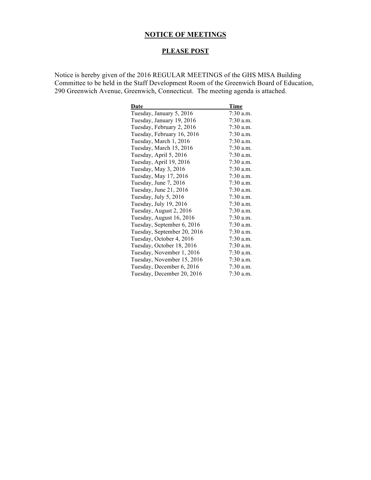# **NOTICE OF MEETINGS**

# **PLEASE POST**

Notice is hereby given of the 2016 REGULAR MEETINGS of the GHS MISA Building Committee to be held in the Staff Development Room of the Greenwich Board of Education, 290 Greenwich Avenue, Greenwich, Connecticut. The meeting agenda is attached.

| Date                        | Time        |
|-----------------------------|-------------|
| Tuesday, January 5, 2016    | $7:30$ a.m. |
| Tuesday, January 19, 2016   | 7:30 a.m.   |
| Tuesday, February 2, 2016   | $7:30$ a.m. |
| Tuesday, February 16, 2016  | 7:30 a.m.   |
| Tuesday, March 1, 2016      | 7:30 a.m.   |
| Tuesday, March 15, 2016     | $7:30$ a.m. |
| Tuesday, April 5, 2016      | $7:30$ a.m. |
| Tuesday, April 19, 2016     | $7:30$ a.m. |
| Tuesday, May 3, 2016        | 7:30 a.m.   |
| Tuesday, May 17, 2016       | $7:30$ a.m. |
| Tuesday, June 7, 2016       | 7:30 a.m.   |
| Tuesday, June 21, 2016      | 7:30 a.m.   |
| Tuesday, July 5, 2016       | 7:30 a.m.   |
| Tuesday, July 19, 2016      | $7:30$ a.m. |
| Tuesday, August 2, 2016     | $7:30$ a.m. |
| Tuesday, August 16, 2016    | $7:30$ a.m. |
| Tuesday, September 6, 2016  | $7:30$ a.m. |
| Tuesday, September 20, 2016 | $7:30$ a.m. |
| Tuesday, October 4, 2016    | $7:30$ a.m. |
| Tuesday, October 18, 2016   | 7:30 a.m.   |
| Tuesday, November 1, 2016   | $7:30$ a.m. |
| Tuesday, November 15, 2016  | $7:30$ a.m. |
| Tuesday, December 6, 2016   | $7:30$ a.m. |
| Tuesday, December 20, 2016  | $7:30$ a.m. |